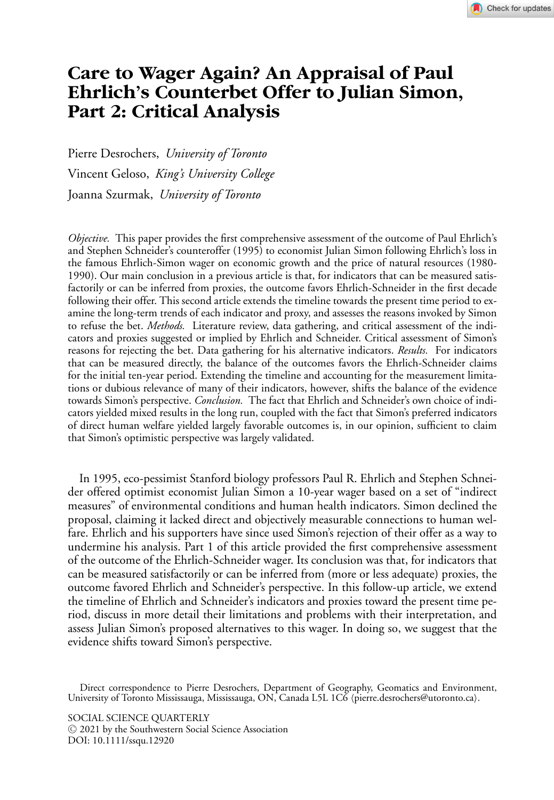# **Care to Wager Again? An Appraisal of Paul Ehrlich's Counterbet Offer to Julian Simon, Part 2: Critical Analysis**

Pierre Desrochers, *University of Toronto* Vincent Geloso, *King's University College* Joanna Szurmak, *University of Toronto*

*Objective.* This paper provides the first comprehensive assessment of the outcome of Paul Ehrlich's and Stephen Schneider's counteroffer (1995) to economist Julian Simon following Ehrlich's loss in the famous Ehrlich-Simon wager on economic growth and the price of natural resources (1980- 1990). Our main conclusion in a previous article is that, for indicators that can be measured satisfactorily or can be inferred from proxies, the outcome favors Ehrlich-Schneider in the first decade following their offer. This second article extends the timeline towards the present time period to examine the long-term trends of each indicator and proxy, and assesses the reasons invoked by Simon to refuse the bet. *Methods.* Literature review, data gathering, and critical assessment of the indicators and proxies suggested or implied by Ehrlich and Schneider. Critical assessment of Simon's reasons for rejecting the bet. Data gathering for his alternative indicators. *Results.* For indicators that can be measured directly, the balance of the outcomes favors the Ehrlich-Schneider claims for the initial ten-year period. Extending the timeline and accounting for the measurement limitations or dubious relevance of many of their indicators, however, shifts the balance of the evidence towards Simon's perspective. *Conclusion.* The fact that Ehrlich and Schneider's own choice of indicators yielded mixed results in the long run, coupled with the fact that Simon's preferred indicators of direct human welfare yielded largely favorable outcomes is, in our opinion, sufficient to claim that Simon's optimistic perspective was largely validated.

In 1995, eco-pessimist Stanford biology professors Paul R. Ehrlich and Stephen Schneider offered optimist economist Julian Simon a 10-year wager based on a set of "indirect measures" of environmental conditions and human health indicators. Simon declined the proposal, claiming it lacked direct and objectively measurable connections to human welfare. Ehrlich and his supporters have since used Simon's rejection of their offer as a way to undermine his analysis. Part 1 of this article provided the first comprehensive assessment of the outcome of the Ehrlich-Schneider wager. Its conclusion was that, for indicators that can be measured satisfactorily or can be inferred from (more or less adequate) proxies, the outcome favored Ehrlich and Schneider's perspective. In this follow-up article, we extend the timeline of Ehrlich and Schneider's indicators and proxies toward the present time period, discuss in more detail their limitations and problems with their interpretation, and assess Julian Simon's proposed alternatives to this wager. In doing so, we suggest that the evidence shifts toward Simon's perspective.

Direct correspondence to Pierre Desrochers, Department of Geography, Geomatics and Environment, University of Toronto Mississauga, Mississauga, ON, Canada L5L 1C6 (pierre.desrochers@utoronto.ca).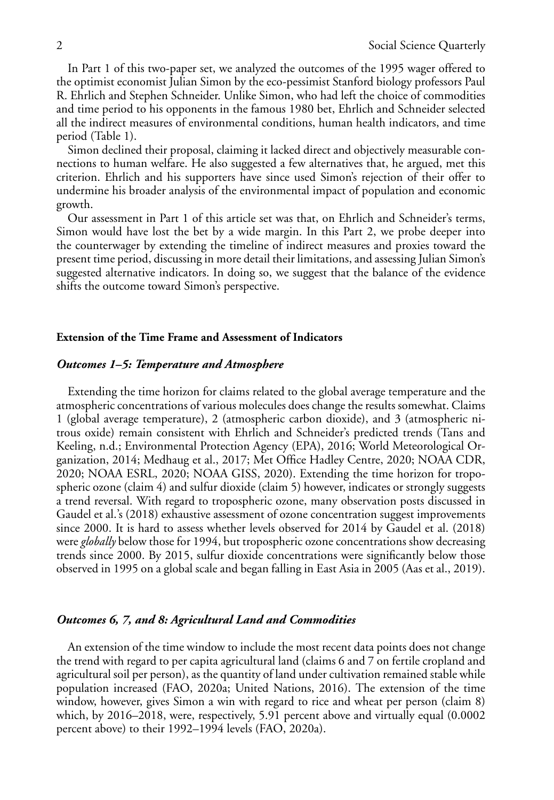In Part 1 of this two-paper set, we analyzed the outcomes of the 1995 wager offered to the optimist economist Julian Simon by the eco-pessimist Stanford biology professors Paul R. Ehrlich and Stephen Schneider. Unlike Simon, who had left the choice of commodities and time period to his opponents in the famous 1980 bet, Ehrlich and Schneider selected all the indirect measures of environmental conditions, human health indicators, and time period (Table 1).

Simon declined their proposal, claiming it lacked direct and objectively measurable connections to human welfare. He also suggested a few alternatives that, he argued, met this criterion. Ehrlich and his supporters have since used Simon's rejection of their offer to undermine his broader analysis of the environmental impact of population and economic growth.

Our assessment in Part 1 of this article set was that, on Ehrlich and Schneider's terms, Simon would have lost the bet by a wide margin. In this Part 2, we probe deeper into the counterwager by extending the timeline of indirect measures and proxies toward the present time period, discussing in more detail their limitations, and assessing Julian Simon's suggested alternative indicators. In doing so, we suggest that the balance of the evidence shifts the outcome toward Simon's perspective.

## **Extension of the Time Frame and Assessment of Indicators**

## *Outcomes 1–5: Temperature and Atmosphere*

Extending the time horizon for claims related to the global average temperature and the atmospheric concentrations of various molecules does change the results somewhat. Claims 1 (global average temperature), 2 (atmospheric carbon dioxide), and 3 (atmospheric nitrous oxide) remain consistent with Ehrlich and Schneider's predicted trends (Tans and Keeling, n.d.; Environmental Protection Agency (EPA), 2016; World Meteorological Organization, 2014; Medhaug et al., 2017; Met Office Hadley Centre, 2020; NOAA CDR, 2020; NOAA ESRL, 2020; NOAA GISS, 2020). Extending the time horizon for tropospheric ozone (claim 4) and sulfur dioxide (claim 5) however, indicates or strongly suggests a trend reversal. With regard to tropospheric ozone, many observation posts discussed in Gaudel et al.'s (2018) exhaustive assessment of ozone concentration suggest improvements since 2000. It is hard to assess whether levels observed for 2014 by Gaudel et al. (2018) were *globally* below those for 1994, but tropospheric ozone concentrations show decreasing trends since 2000. By 2015, sulfur dioxide concentrations were significantly below those observed in 1995 on a global scale and began falling in East Asia in 2005 (Aas et al., 2019).

## *Outcomes 6, 7, and 8: Agricultural Land and Commodities*

An extension of the time window to include the most recent data points does not change the trend with regard to per capita agricultural land (claims 6 and 7 on fertile cropland and agricultural soil per person), as the quantity of land under cultivation remained stable while population increased (FAO, 2020a; United Nations, 2016). The extension of the time window, however, gives Simon a win with regard to rice and wheat per person (claim 8) which, by 2016–2018, were, respectively, 5.91 percent above and virtually equal  $(0.0002)$ percent above) to their 1992–1994 levels (FAO, 2020a).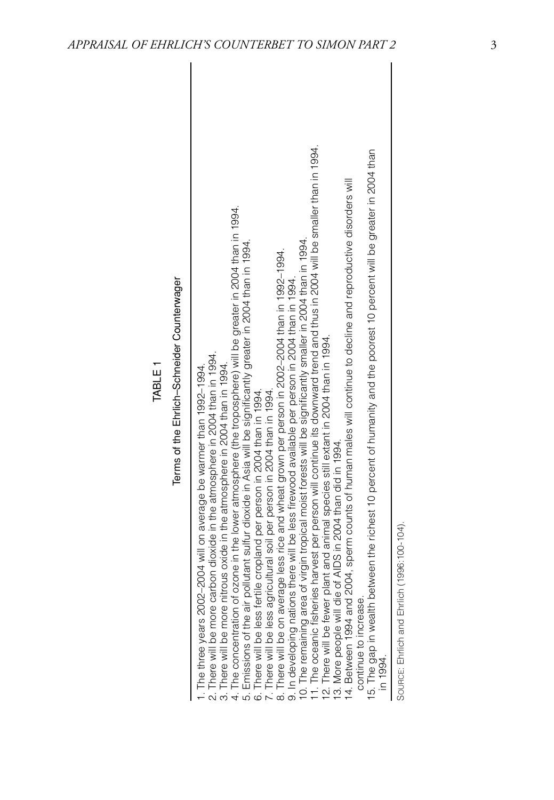| Terms of the Ehrlich-Schneider Counterwager | narvest per person will continue its downward trend thus in 2004 will be smaller than in 1994.<br>15. The gap in wealth between the richest 10 percent of humanity and the poorest 10 percent will be greater in 2004 than<br>14. Between 1994 and 2004, sperm counts of human males will continue to decline and reproductive disorders will<br>4. The concentration of ozone in the lower atmosphere (the troposphere) will be greater in 2004 than in 1994.<br>virgin tropical moist forests will be significantly smaller in 2004 than in 1994.<br>5. Emissions of the air pollutant sulfur dioxide in Asia will be significantly greater in 2004 than in 1994.<br>8. There will be on average less rice and wheat grown per person in 2002-2004 than in 1992-1994.<br>9. In developing nations there will be less firewood available per person in 2004 than in 1994.<br>11. The oceanic fisheries harvest per person will continue its downward trained to:<br>12. There will be fewer plant and animal species still extant in 2004 than in 1994.<br>13. More people will die of AIDS in 2004 than did in 1<br>2. There will be more carbon dioxide in the atmosphere in 2004 than in 1994.<br>3. There will be more nitrous oxide in the atmosphere in 2004 than in 1994.<br>1. The three years 2002–2004 will on average be warmer than 1992–1994.<br>7. There will be less agricultural soil per person in 2004 than in 1994.<br>6. There will be less fertile cropland per person in 2004 than in 1994.<br>10. The remaining area of<br>continue to increase. |
|---------------------------------------------|--------------------------------------------------------------------------------------------------------------------------------------------------------------------------------------------------------------------------------------------------------------------------------------------------------------------------------------------------------------------------------------------------------------------------------------------------------------------------------------------------------------------------------------------------------------------------------------------------------------------------------------------------------------------------------------------------------------------------------------------------------------------------------------------------------------------------------------------------------------------------------------------------------------------------------------------------------------------------------------------------------------------------------------------------------------------------------------------------------------------------------------------------------------------------------------------------------------------------------------------------------------------------------------------------------------------------------------------------------------------------------------------------------------------------------------------------------------------------------------------------------------------------------------------------------------------------|
|                                             | in 1994.                                                                                                                                                                                                                                                                                                                                                                                                                                                                                                                                                                                                                                                                                                                                                                                                                                                                                                                                                                                                                                                                                                                                                                                                                                                                                                                                                                                                                                                                                                                                                                 |

TABLE 1

SOURCE: Ehrlich and Ehrlich (1996:100-104). SOURCE: Ehrlich and Ehrlich (1996:100-104).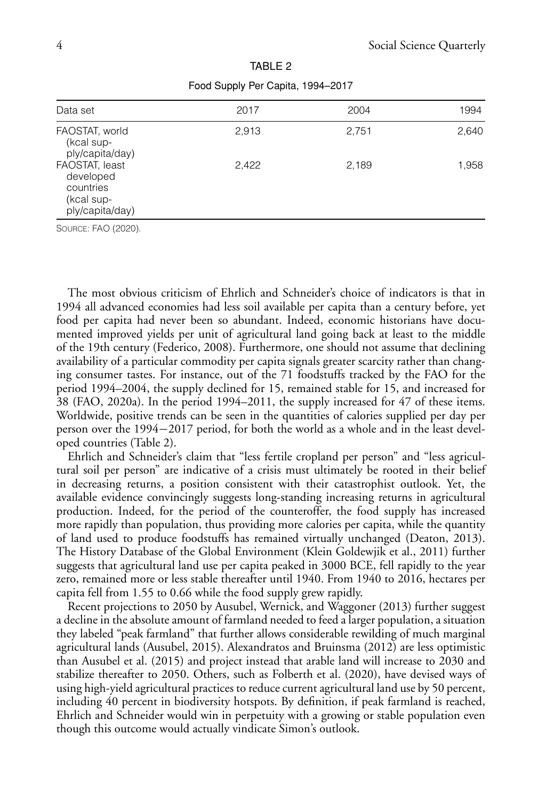| Data set                                                                  | 2017  | 2004  | 1994  |
|---------------------------------------------------------------------------|-------|-------|-------|
| FAOSTAT, world<br>(kcal sup-<br>ply/capita/day)                           | 2,913 | 2,751 | 2,640 |
| FAOSTAT, least<br>developed<br>countries<br>(kcal sup-<br>ply/capita/day) | 2,422 | 2,189 | 1,958 |

TABLE 2 Food Supply Per Capita, 1994–2017

SOURCE: FAO (2020).

The most obvious criticism of Ehrlich and Schneider's choice of indicators is that in 1994 all advanced economies had less soil available per capita than a century before, yet food per capita had never been so abundant. Indeed, economic historians have documented improved yields per unit of agricultural land going back at least to the middle of the 19th century (Federico, 2008). Furthermore, one should not assume that declining availability of a particular commodity per capita signals greater scarcity rather than changing consumer tastes. For instance, out of the 71 foodstuffs tracked by the FAO for the period 1994–2004, the supply declined for 15, remained stable for 15, and increased for 38 (FAO, 2020a). In the period 1994–2011, the supply increased for 47 of these items. Worldwide, positive trends can be seen in the quantities of calories supplied per day per person over the 1994−2017 period, for both the world as a whole and in the least developed countries (Table 2).

Ehrlich and Schneider's claim that "less fertile cropland per person" and "less agricultural soil per person" are indicative of a crisis must ultimately be rooted in their belief in decreasing returns, a position consistent with their catastrophist outlook. Yet, the available evidence convincingly suggests long-standing increasing returns in agricultural production. Indeed, for the period of the counteroffer, the food supply has increased more rapidly than population, thus providing more calories per capita, while the quantity of land used to produce foodstuffs has remained virtually unchanged (Deaton, 2013). The History Database of the Global Environment (Klein Goldewjik et al., 2011) further suggests that agricultural land use per capita peaked in 3000 BCE, fell rapidly to the year zero, remained more or less stable thereafter until 1940. From 1940 to 2016, hectares per capita fell from 1.55 to 0.66 while the food supply grew rapidly.

Recent projections to 2050 by Ausubel, Wernick, and Waggoner (2013) further suggest a decline in the absolute amount of farmland needed to feed a larger population, a situation they labeled "peak farmland" that further allows considerable rewilding of much marginal agricultural lands (Ausubel, 2015). Alexandratos and Bruinsma (2012) are less optimistic than Ausubel et al. (2015) and project instead that arable land will increase to 2030 and stabilize thereafter to 2050. Others, such as Folberth et al. (2020), have devised ways of using high-yield agricultural practices to reduce current agricultural land use by 50 percent, including 40 percent in biodiversity hotspots. By definition, if peak farmland is reached, Ehrlich and Schneider would win in perpetuity with a growing or stable population even though this outcome would actually vindicate Simon's outlook.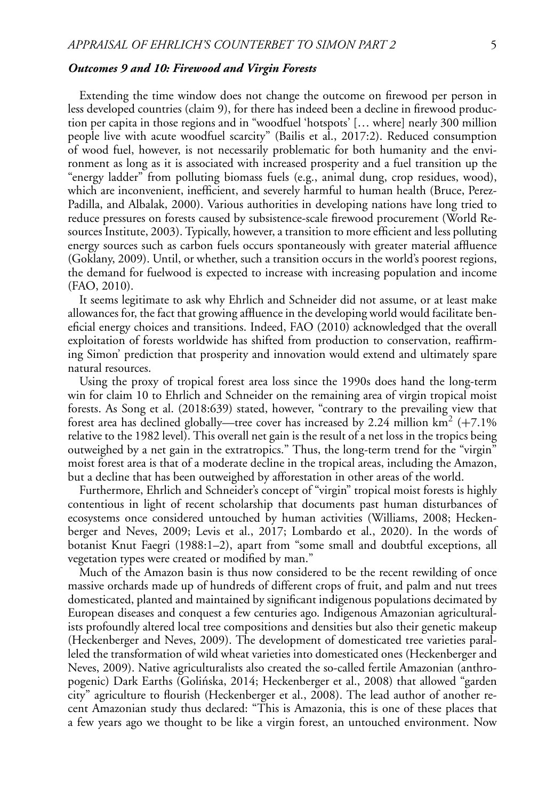## *Outcomes 9 and 10: Firewood and Virgin Forests*

Extending the time window does not change the outcome on firewood per person in less developed countries (claim 9), for there has indeed been a decline in firewood production per capita in those regions and in "woodfuel 'hotspots' [… where] nearly 300 million people live with acute woodfuel scarcity" (Bailis et al., 2017:2). Reduced consumption of wood fuel, however, is not necessarily problematic for both humanity and the environment as long as it is associated with increased prosperity and a fuel transition up the "energy ladder" from polluting biomass fuels (e.g., animal dung, crop residues, wood), which are inconvenient, inefficient, and severely harmful to human health (Bruce, Perez-Padilla, and Albalak, 2000). Various authorities in developing nations have long tried to reduce pressures on forests caused by subsistence-scale firewood procurement (World Resources Institute, 2003). Typically, however, a transition to more efficient and less polluting energy sources such as carbon fuels occurs spontaneously with greater material affluence (Goklany, 2009). Until, or whether, such a transition occurs in the world's poorest regions, the demand for fuelwood is expected to increase with increasing population and income (FAO, 2010).

It seems legitimate to ask why Ehrlich and Schneider did not assume, or at least make allowances for, the fact that growing affluence in the developing world would facilitate beneficial energy choices and transitions. Indeed, FAO (2010) acknowledged that the overall exploitation of forests worldwide has shifted from production to conservation, reaffirming Simon' prediction that prosperity and innovation would extend and ultimately spare natural resources.

Using the proxy of tropical forest area loss since the 1990s does hand the long-term win for claim 10 to Ehrlich and Schneider on the remaining area of virgin tropical moist forests. As Song et al. (2018:639) stated, however, "contrary to the prevailing view that forest area has declined globally—tree cover has increased by 2.24 million km<sup>2</sup> (+7.1% relative to the 1982 level). This overall net gain is the result of a net loss in the tropics being outweighed by a net gain in the extratropics." Thus, the long-term trend for the "virgin" moist forest area is that of a moderate decline in the tropical areas, including the Amazon, but a decline that has been outweighed by afforestation in other areas of the world.

Furthermore, Ehrlich and Schneider's concept of "virgin" tropical moist forests is highly contentious in light of recent scholarship that documents past human disturbances of ecosystems once considered untouched by human activities (Williams, 2008; Heckenberger and Neves, 2009; Levis et al., 2017; Lombardo et al., 2020). In the words of botanist Knut Faegri (1988:1–2), apart from "some small and doubtful exceptions, all vegetation types were created or modified by man."

Much of the Amazon basin is thus now considered to be the recent rewilding of once massive orchards made up of hundreds of different crops of fruit, and palm and nut trees domesticated, planted and maintained by significant indigenous populations decimated by European diseases and conquest a few centuries ago. Indigenous Amazonian agriculturalists profoundly altered local tree compositions and densities but also their genetic makeup (Heckenberger and Neves, 2009). The development of domesticated tree varieties paralleled the transformation of wild wheat varieties into domesticated ones (Heckenberger and Neves, 2009). Native agriculturalists also created the so-called fertile Amazonian (anthropogenic) Dark Earths (Golińska, 2014; Heckenberger et al., 2008) that allowed "garden city" agriculture to flourish (Heckenberger et al., 2008). The lead author of another recent Amazonian study thus declared: "This is Amazonia, this is one of these places that a few years ago we thought to be like a virgin forest, an untouched environment. Now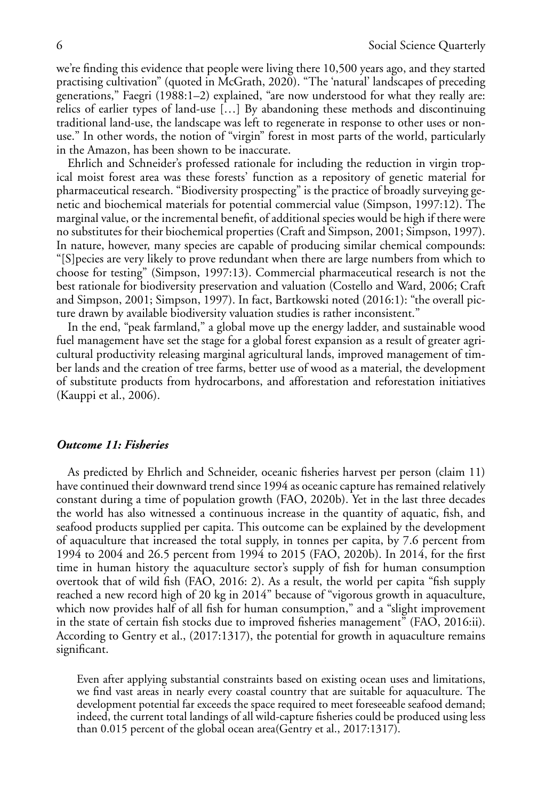we're finding this evidence that people were living there 10,500 years ago, and they started practising cultivation" (quoted in McGrath, 2020). "The 'natural' landscapes of preceding generations," Faegri (1988:1–2) explained, "are now understood for what they really are: relics of earlier types of land-use […] By abandoning these methods and discontinuing traditional land-use, the landscape was left to regenerate in response to other uses or nonuse." In other words, the notion of "virgin" forest in most parts of the world, particularly in the Amazon, has been shown to be inaccurate.

Ehrlich and Schneider's professed rationale for including the reduction in virgin tropical moist forest area was these forests' function as a repository of genetic material for pharmaceutical research. "Biodiversity prospecting" is the practice of broadly surveying genetic and biochemical materials for potential commercial value (Simpson, 1997:12). The marginal value, or the incremental benefit, of additional species would be high if there were no substitutes for their biochemical properties (Craft and Simpson, 2001; Simpson, 1997). In nature, however, many species are capable of producing similar chemical compounds: "[S]pecies are very likely to prove redundant when there are large numbers from which to choose for testing" (Simpson, 1997:13). Commercial pharmaceutical research is not the best rationale for biodiversity preservation and valuation (Costello and Ward, 2006; Craft and Simpson, 2001; Simpson, 1997). In fact, Bartkowski noted (2016:1): "the overall picture drawn by available biodiversity valuation studies is rather inconsistent."

In the end, "peak farmland," a global move up the energy ladder, and sustainable wood fuel management have set the stage for a global forest expansion as a result of greater agricultural productivity releasing marginal agricultural lands, improved management of timber lands and the creation of tree farms, better use of wood as a material, the development of substitute products from hydrocarbons, and afforestation and reforestation initiatives (Kauppi et al., 2006).

## *Outcome 11: Fisheries*

As predicted by Ehrlich and Schneider, oceanic fisheries harvest per person (claim 11) have continued their downward trend since 1994 as oceanic capture has remained relatively constant during a time of population growth (FAO, 2020b). Yet in the last three decades the world has also witnessed a continuous increase in the quantity of aquatic, fish, and seafood products supplied per capita. This outcome can be explained by the development of aquaculture that increased the total supply, in tonnes per capita, by 7.6 percent from 1994 to 2004 and 26.5 percent from 1994 to 2015 (FAO, 2020b). In 2014, for the first time in human history the aquaculture sector's supply of fish for human consumption overtook that of wild fish (FAO, 2016: 2). As a result, the world per capita "fish supply reached a new record high of 20 kg in 2014" because of "vigorous growth in aquaculture, which now provides half of all fish for human consumption," and a "slight improvement in the state of certain fish stocks due to improved fisheries management" (FAO, 2016:ii). According to Gentry et al., (2017:1317), the potential for growth in aquaculture remains significant.

Even after applying substantial constraints based on existing ocean uses and limitations, we find vast areas in nearly every coastal country that are suitable for aquaculture. The development potential far exceeds the space required to meet foreseeable seafood demand; indeed, the current total landings of all wild-capture fisheries could be produced using less than 0.015 percent of the global ocean area(Gentry et al., 2017:1317).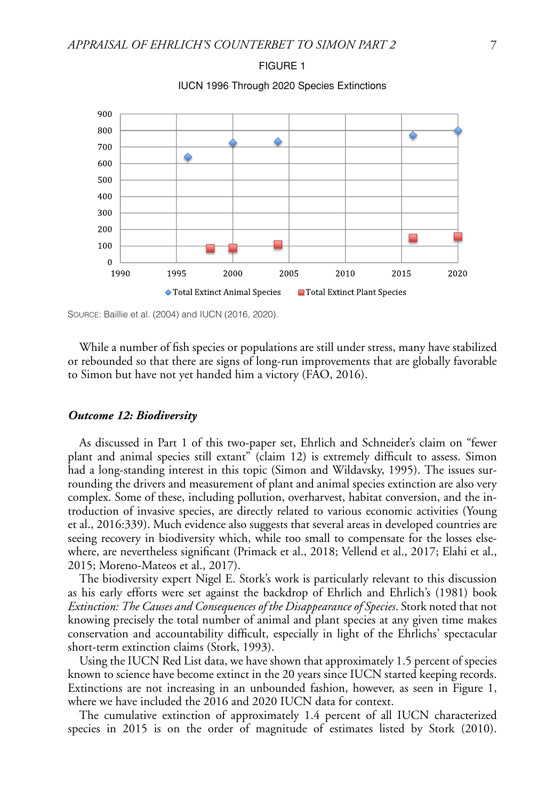

FIGURE 1 IUCN 1996 Through 2020 Species Extinctions

SOURCE: Baillie et al. (2004) and IUCN (2016, 2020).

While a number of fish species or populations are still under stress, many have stabilized or rebounded so that there are signs of long-run improvements that are globally favorable to Simon but have not yet handed him a victory (FAO, 2016).

#### *Outcome 12: Biodiversity*

As discussed in Part 1 of this two-paper set, Ehrlich and Schneider's claim on "fewer plant and animal species still extant" (claim 12) is extremely difficult to assess. Simon had a long-standing interest in this topic (Simon and Wildavsky, 1995). The issues surrounding the drivers and measurement of plant and animal species extinction are also very complex. Some of these, including pollution, overharvest, habitat conversion, and the introduction of invasive species, are directly related to various economic activities (Young et al., 2016:339). Much evidence also suggests that several areas in developed countries are seeing recovery in biodiversity which, while too small to compensate for the losses elsewhere, are nevertheless significant (Primack et al., 2018; Vellend et al., 2017; Elahi et al., 2015; Moreno-Mateos et al., 2017).

The biodiversity expert Nigel E. Stork's work is particularly relevant to this discussion as his early efforts were set against the backdrop of Ehrlich and Ehrlich's (1981) book *Extinction: The Causes and Consequences of the Disappearance of Species*. Stork noted that not knowing precisely the total number of animal and plant species at any given time makes conservation and accountability difficult, especially in light of the Ehrlichs' spectacular short-term extinction claims (Stork, 1993).

Using the IUCN Red List data, we have shown that approximately 1.5 percent of species known to science have become extinct in the 20 years since IUCN started keeping records. Extinctions are not increasing in an unbounded fashion, however, as seen in Figure 1, where we have included the 2016 and 2020 IUCN data for context.

The cumulative extinction of approximately 1.4 percent of all IUCN characterized species in 2015 is on the order of magnitude of estimates listed by Stork (2010).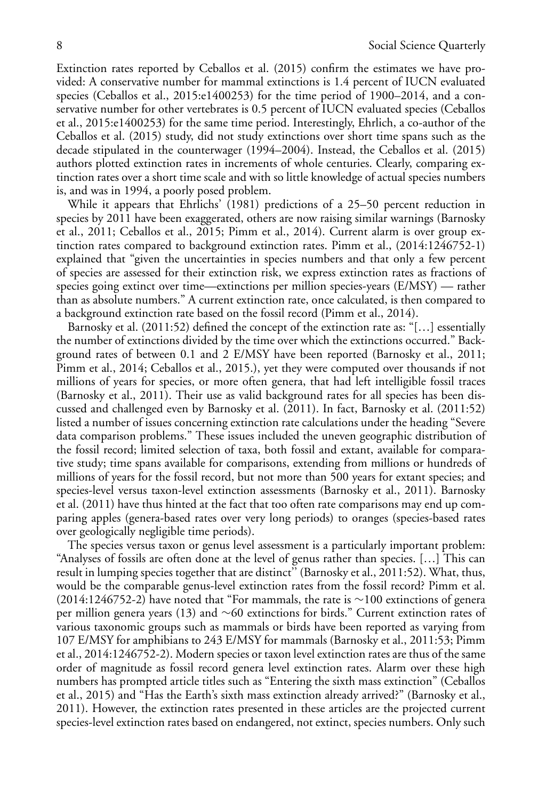Extinction rates reported by Ceballos et al. (2015) confirm the estimates we have provided: A conservative number for mammal extinctions is 1.4 percent of IUCN evaluated species (Ceballos et al., 2015:e1400253) for the time period of 1900–2014, and a conservative number for other vertebrates is 0.5 percent of IUCN evaluated species (Ceballos et al., 2015:e1400253) for the same time period. Interestingly, Ehrlich, a co-author of the Ceballos et al. (2015) study, did not study extinctions over short time spans such as the decade stipulated in the counterwager (1994–2004). Instead, the Ceballos et al. (2015) authors plotted extinction rates in increments of whole centuries. Clearly, comparing extinction rates over a short time scale and with so little knowledge of actual species numbers is, and was in 1994, a poorly posed problem.

While it appears that Ehrlichs' (1981) predictions of a 25–50 percent reduction in species by 2011 have been exaggerated, others are now raising similar warnings (Barnosky et al., 2011; Ceballos et al., 2015; Pimm et al., 2014). Current alarm is over group extinction rates compared to background extinction rates. Pimm et al., (2014:1246752-1) explained that "given the uncertainties in species numbers and that only a few percent of species are assessed for their extinction risk, we express extinction rates as fractions of species going extinct over time—extinctions per million species-years (E/MSY) — rather than as absolute numbers." A current extinction rate, once calculated, is then compared to a background extinction rate based on the fossil record (Pimm et al., 2014).

Barnosky et al. (2011:52) defined the concept of the extinction rate as: "[…] essentially the number of extinctions divided by the time over which the extinctions occurred." Background rates of between 0.1 and 2 E/MSY have been reported (Barnosky et al., 2011; Pimm et al., 2014; Ceballos et al., 2015.), yet they were computed over thousands if not millions of years for species, or more often genera, that had left intelligible fossil traces (Barnosky et al., 2011). Their use as valid background rates for all species has been discussed and challenged even by Barnosky et al. (2011). In fact, Barnosky et al. (2011:52) listed a number of issues concerning extinction rate calculations under the heading "Severe data comparison problems." These issues included the uneven geographic distribution of the fossil record; limited selection of taxa, both fossil and extant, available for comparative study; time spans available for comparisons, extending from millions or hundreds of millions of years for the fossil record, but not more than 500 years for extant species; and species-level versus taxon-level extinction assessments (Barnosky et al., 2011). Barnosky et al. (2011) have thus hinted at the fact that too often rate comparisons may end up comparing apples (genera-based rates over very long periods) to oranges (species-based rates over geologically negligible time periods).

The species versus taxon or genus level assessment is a particularly important problem: "Analyses of fossils are often done at the level of genus rather than species. […] This can result in lumping species together that are distinct'' (Barnosky et al., 2011:52). What, thus, would be the comparable genus-level extinction rates from the fossil record? Pimm et al. (2014:1246752-2) have noted that "For mammals, the rate is ∼100 extinctions of genera per million genera years (13) and ∼60 extinctions for birds." Current extinction rates of various taxonomic groups such as mammals or birds have been reported as varying from 107 E/MSY for amphibians to 243 E/MSY for mammals (Barnosky et al., 2011:53; Pimm et al., 2014:1246752-2). Modern species or taxon level extinction rates are thus of the same order of magnitude as fossil record genera level extinction rates. Alarm over these high numbers has prompted article titles such as "Entering the sixth mass extinction" (Ceballos et al., 2015) and "Has the Earth's sixth mass extinction already arrived?" (Barnosky et al., 2011). However, the extinction rates presented in these articles are the projected current species-level extinction rates based on endangered, not extinct, species numbers. Only such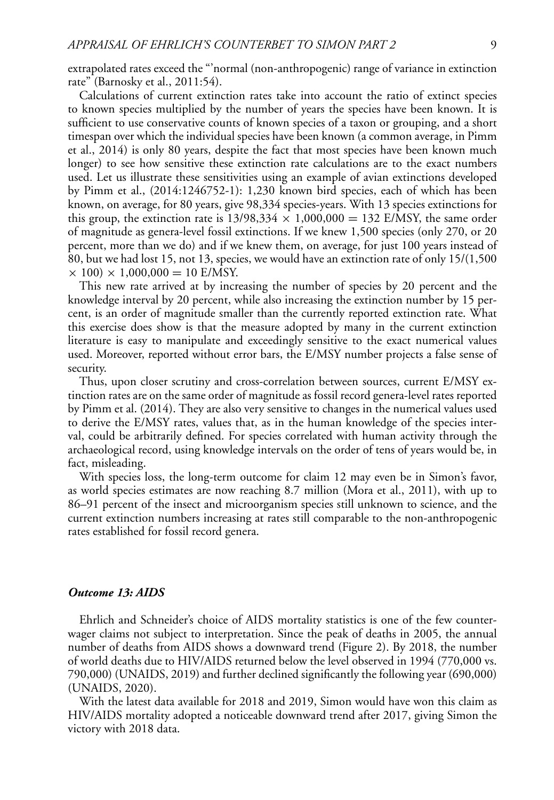extrapolated rates exceed the "'normal (non-anthropogenic) range of variance in extinction rate" (Barnosky et al., 2011:54).

Calculations of current extinction rates take into account the ratio of extinct species to known species multiplied by the number of years the species have been known. It is sufficient to use conservative counts of known species of a taxon or grouping, and a short timespan over which the individual species have been known (a common average, in Pimm et al., 2014) is only 80 years, despite the fact that most species have been known much longer) to see how sensitive these extinction rate calculations are to the exact numbers used. Let us illustrate these sensitivities using an example of avian extinctions developed by Pimm et al., (2014:1246752-1): 1,230 known bird species, each of which has been known, on average, for 80 years, give 98,334 species-years. With 13 species extinctions for this group, the extinction rate is  $13/98,334 \times 1,000,000 = 132$  E/MSY, the same order of magnitude as genera-level fossil extinctions. If we knew 1,500 species (only 270, or 20 percent, more than we do) and if we knew them, on average, for just 100 years instead of 80, but we had lost 15, not 13, species, we would have an extinction rate of only 15/(1,500  $\times$  100)  $\times$  1,000,000 = 10 E/MSY.

This new rate arrived at by increasing the number of species by 20 percent and the knowledge interval by 20 percent, while also increasing the extinction number by 15 percent, is an order of magnitude smaller than the currently reported extinction rate. What this exercise does show is that the measure adopted by many in the current extinction literature is easy to manipulate and exceedingly sensitive to the exact numerical values used. Moreover, reported without error bars, the E/MSY number projects a false sense of security.

Thus, upon closer scrutiny and cross-correlation between sources, current E/MSY extinction rates are on the same order of magnitude as fossil record genera-level rates reported by Pimm et al. (2014). They are also very sensitive to changes in the numerical values used to derive the E/MSY rates, values that, as in the human knowledge of the species interval, could be arbitrarily defined. For species correlated with human activity through the archaeological record, using knowledge intervals on the order of tens of years would be, in fact, misleading.

With species loss, the long-term outcome for claim 12 may even be in Simon's favor, as world species estimates are now reaching 8.7 million (Mora et al., 2011), with up to 86–91 percent of the insect and microorganism species still unknown to science, and the current extinction numbers increasing at rates still comparable to the non-anthropogenic rates established for fossil record genera.

# *Outcome 13: AIDS*

Ehrlich and Schneider's choice of AIDS mortality statistics is one of the few counterwager claims not subject to interpretation. Since the peak of deaths in 2005, the annual number of deaths from AIDS shows a downward trend (Figure 2). By 2018, the number of world deaths due to HIV/AIDS returned below the level observed in 1994 (770,000 vs. 790,000) (UNAIDS, 2019) and further declined significantly the following year (690,000) (UNAIDS, 2020).

With the latest data available for 2018 and 2019, Simon would have won this claim as HIV/AIDS mortality adopted a noticeable downward trend after 2017, giving Simon the victory with 2018 data.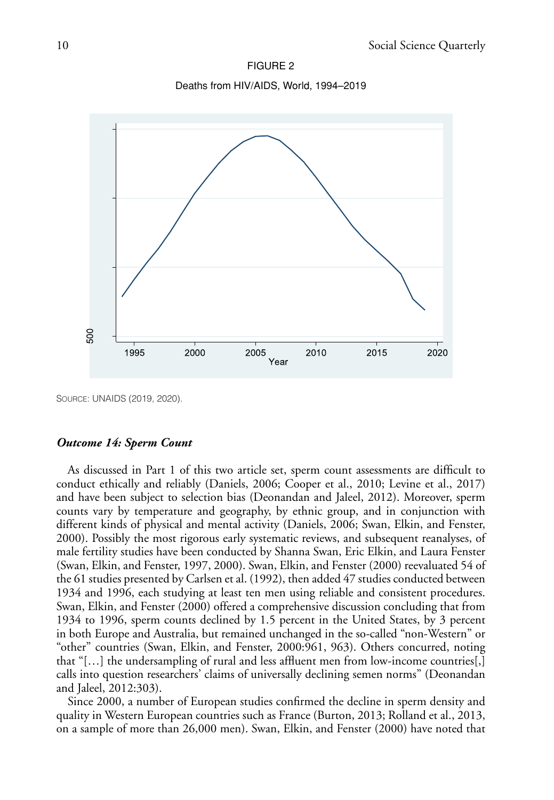FIGURE 2 Deaths from HIV/AIDS, World, 1994–2019



SOURCE: UNAIDS (2019, 2020).

## *Outcome 14: Sperm Count*

As discussed in Part 1 of this two article set, sperm count assessments are difficult to conduct ethically and reliably (Daniels, 2006; Cooper et al., 2010; Levine et al., 2017) and have been subject to selection bias (Deonandan and Jaleel, 2012). Moreover, sperm counts vary by temperature and geography, by ethnic group, and in conjunction with different kinds of physical and mental activity (Daniels, 2006; Swan, Elkin, and Fenster, 2000). Possibly the most rigorous early systematic reviews, and subsequent reanalyses, of male fertility studies have been conducted by Shanna Swan, Eric Elkin, and Laura Fenster (Swan, Elkin, and Fenster, 1997, 2000). Swan, Elkin, and Fenster (2000) reevaluated 54 of the 61 studies presented by Carlsen et al. (1992), then added 47 studies conducted between 1934 and 1996, each studying at least ten men using reliable and consistent procedures. Swan, Elkin, and Fenster (2000) offered a comprehensive discussion concluding that from 1934 to 1996, sperm counts declined by 1.5 percent in the United States, by 3 percent in both Europe and Australia, but remained unchanged in the so-called "non-Western" or "other" countries (Swan, Elkin, and Fenster, 2000:961, 963). Others concurred, noting that "[…] the undersampling of rural and less affluent men from low-income countries[,] calls into question researchers' claims of universally declining semen norms" (Deonandan and Jaleel, 2012:303).

Since 2000, a number of European studies confirmed the decline in sperm density and quality in Western European countries such as France (Burton, 2013; Rolland et al., 2013, on a sample of more than 26,000 men). Swan, Elkin, and Fenster (2000) have noted that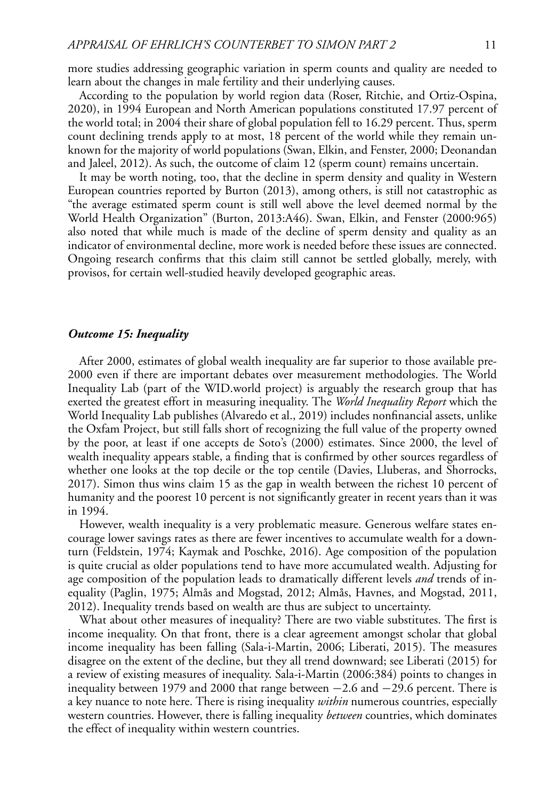more studies addressing geographic variation in sperm counts and quality are needed to learn about the changes in male fertility and their underlying causes.

According to the population by world region data (Roser, Ritchie, and Ortiz-Ospina, 2020), in 1994 European and North American populations constituted 17.97 percent of the world total; in 2004 their share of global population fell to 16.29 percent. Thus, sperm count declining trends apply to at most, 18 percent of the world while they remain unknown for the majority of world populations (Swan, Elkin, and Fenster, 2000; Deonandan and Jaleel, 2012). As such, the outcome of claim 12 (sperm count) remains uncertain.

It may be worth noting, too, that the decline in sperm density and quality in Western European countries reported by Burton (2013), among others, is still not catastrophic as "the average estimated sperm count is still well above the level deemed normal by the World Health Organization" (Burton, 2013:A46). Swan, Elkin, and Fenster (2000:965) also noted that while much is made of the decline of sperm density and quality as an indicator of environmental decline, more work is needed before these issues are connected. Ongoing research confirms that this claim still cannot be settled globally, merely, with provisos, for certain well-studied heavily developed geographic areas.

#### *Outcome 15: Inequality*

After 2000, estimates of global wealth inequality are far superior to those available pre-2000 even if there are important debates over measurement methodologies. The World Inequality Lab (part of the WID.world project) is arguably the research group that has exerted the greatest effort in measuring inequality. The *World Inequality Report* which the World Inequality Lab publishes (Alvaredo et al., 2019) includes nonfinancial assets, unlike the Oxfam Project, but still falls short of recognizing the full value of the property owned by the poor, at least if one accepts de Soto's (2000) estimates. Since 2000, the level of wealth inequality appears stable, a finding that is confirmed by other sources regardless of whether one looks at the top decile or the top centile (Davies, Lluberas, and Shorrocks, 2017). Simon thus wins claim 15 as the gap in wealth between the richest 10 percent of humanity and the poorest 10 percent is not significantly greater in recent years than it was in 1994.

However, wealth inequality is a very problematic measure. Generous welfare states encourage lower savings rates as there are fewer incentives to accumulate wealth for a downturn (Feldstein, 1974; Kaymak and Poschke, 2016). Age composition of the population is quite crucial as older populations tend to have more accumulated wealth. Adjusting for age composition of the population leads to dramatically different levels *and* trends of inequality (Paglin, 1975; Almås and Mogstad, 2012; Almås, Havnes, and Mogstad, 2011, 2012). Inequality trends based on wealth are thus are subject to uncertainty.

What about other measures of inequality? There are two viable substitutes. The first is income inequality. On that front, there is a clear agreement amongst scholar that global income inequality has been falling (Sala-i-Martin, 2006; Liberati, 2015). The measures disagree on the extent of the decline, but they all trend downward; see Liberati (2015) for a review of existing measures of inequality. Sala-i-Martin (2006:384) points to changes in inequality between 1979 and 2000 that range between −2.6 and −29.6 percent. There is a key nuance to note here. There is rising inequality *within* numerous countries, especially western countries. However, there is falling inequality *between* countries, which dominates the effect of inequality within western countries.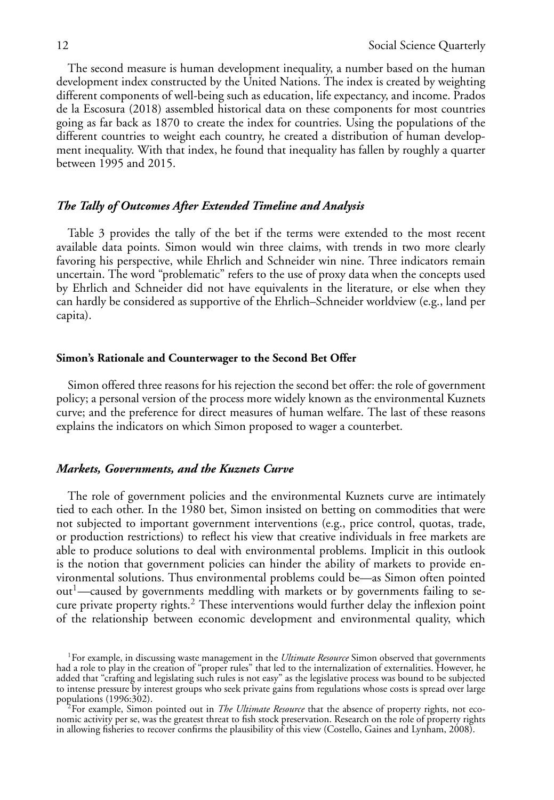The second measure is human development inequality, a number based on the human development index constructed by the United Nations. The index is created by weighting different components of well-being such as education, life expectancy, and income. Prados de la Escosura (2018) assembled historical data on these components for most countries going as far back as 1870 to create the index for countries. Using the populations of the different countries to weight each country, he created a distribution of human development inequality. With that index, he found that inequality has fallen by roughly a quarter between 1995 and 2015.

## *The Tally of Outcomes After Extended Timeline and Analysis*

Table 3 provides the tally of the bet if the terms were extended to the most recent available data points. Simon would win three claims, with trends in two more clearly favoring his perspective, while Ehrlich and Schneider win nine. Three indicators remain uncertain. The word "problematic" refers to the use of proxy data when the concepts used by Ehrlich and Schneider did not have equivalents in the literature, or else when they can hardly be considered as supportive of the Ehrlich–Schneider worldview (e.g., land per capita).

## **Simon's Rationale and Counterwager to the Second Bet Offer**

Simon offered three reasons for his rejection the second bet offer: the role of government policy; a personal version of the process more widely known as the environmental Kuznets curve; and the preference for direct measures of human welfare. The last of these reasons explains the indicators on which Simon proposed to wager a counterbet.

## *Markets, Governments, and the Kuznets Curve*

The role of government policies and the environmental Kuznets curve are intimately tied to each other. In the 1980 bet, Simon insisted on betting on commodities that were not subjected to important government interventions (e.g., price control, quotas, trade, or production restrictions) to reflect his view that creative individuals in free markets are able to produce solutions to deal with environmental problems. Implicit in this outlook is the notion that government policies can hinder the ability of markets to provide environmental solutions. Thus environmental problems could be—as Simon often pointed  $out<sup>1</sup>$ —caused by governments meddling with markets or by governments failing to secure private property rights.<sup>2</sup> These interventions would further delay the inflexion point of the relationship between economic development and environmental quality, which

<sup>&</sup>lt;sup>1</sup>For example, in discussing waste management in the *Ultimate Resource* Simon observed that governments had a role to play in the creation of "proper rules" that led to the internalization of externalities. However, he added that "crafting and legislating such rules is not easy" as the legislative process was bound to be subjected to intense pressure by interest groups who seek private gains from regulations whose costs is spread over large<br>populations (1996:302).<br> $\frac{2}{5}$ For example. Simon pointed out in The Ultimate Basement is the shall as for

For example, Simon pointed out in *The Ultimate Resource* that the absence of property rights, not economic activity per se, was the greatest threat to fish stock preservation. Research on the role of property rights in allowing fisheries to recover confirms the plausibility of this view (Costello, Gaines and Lynham, 2008).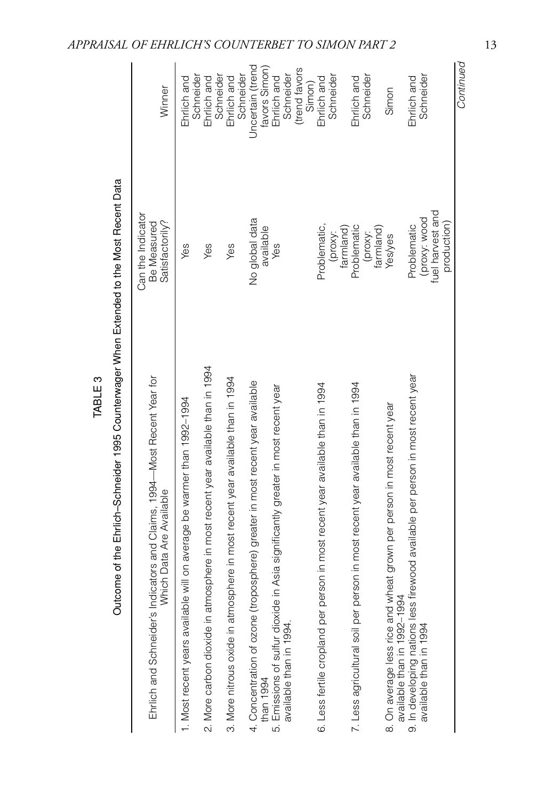| come of the Ehrlich-Schneider 1995 Counterwager When Extended to the Most Recent Data<br>ā           |                                                     |                       |
|------------------------------------------------------------------------------------------------------|-----------------------------------------------------|-----------------------|
| Ehrlich and Schneider's Indicators and Claims, 1994—Most Recent Year for<br>Vhich Data Are Available | Can the Indicator<br>Satisfactorily?<br>Be Measured | Ninner                |
| lost recent years available will on average be warmer than 1992-1994                                 | Yes                                                 | Ehrlich ar            |
| Vore carbon dioxide in afmosphere in most recent vear available than in 1994                         | Yes                                                 | Schneid<br>Ehrlich ar |

Winner

TABLE 3

|                                                                                    |                                  | Schneider                    |
|------------------------------------------------------------------------------------|----------------------------------|------------------------------|
|                                                                                    |                                  |                              |
| 3. More nitrous oxide in atmosphere in most recent year available than in 1994     | Yes                              | Ehrlich and                  |
|                                                                                    |                                  | Schneider                    |
| 4. Concentration of ozone (troposphere) greater in most recent year available      | No global data                   | <b>Jncertain</b> (trend      |
| than 1994                                                                          | available                        |                              |
| 5. Emissions of sulfur dioxide in Asia significantly greater in most recent year   | Yes                              | favors Simon)<br>Ehrlich and |
| available than in 1994.                                                            |                                  | Schneider                    |
|                                                                                    |                                  | (trend favors                |
|                                                                                    |                                  | Simon)                       |
| 6. Less fertile cropland per person in most recent year available than in 1994     | Problematic,                     | Ehrlich and                  |
|                                                                                    | (proxy:                          | Schneider                    |
|                                                                                    | farmland)                        |                              |
| in most recent year available than in 1994<br>'. Less agricultural soil per person | Problematic                      | Ehrlich and                  |
|                                                                                    | (proxy:                          | Schneider                    |
|                                                                                    | farmland)                        |                              |
| grown per person in most recent year<br>8. On average less rice and wheat          | Yes/yes                          | Simon                        |
| available than in 1992-1994                                                        |                                  |                              |
| 9. In developing nations less firewood available per person in most recent year    | Problematic                      | Ehrlich and                  |
| available than in 1994                                                             |                                  | Schneider                    |
|                                                                                    | (proxy: wood<br>fuel harvest and |                              |
|                                                                                    | production)                      |                              |
|                                                                                    |                                  | Continued                    |

*APPRAISAL OF EHRLICH'S COUNTERBET TO SIMON PART 2* 13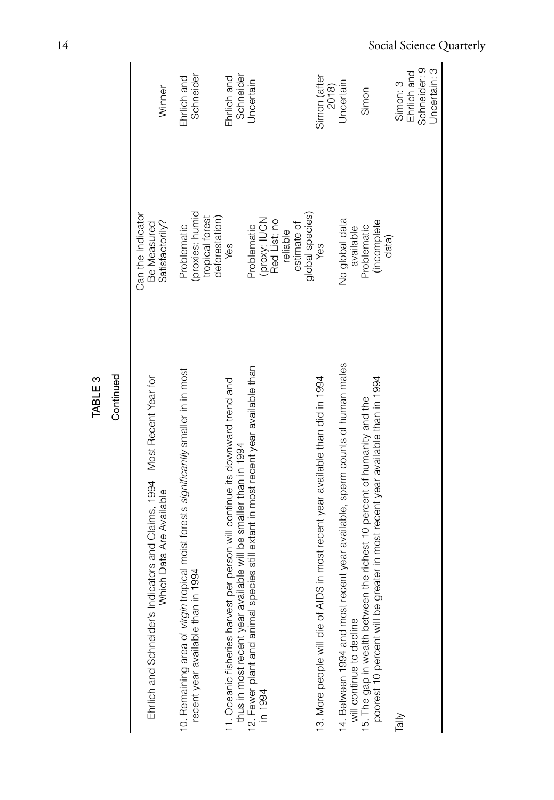| Ehrlich and Schneider's Indicators and Claims, 1994—Most Recent Year for<br>Which Data Are Available                                                         | Can the Indicator<br>Satisfactorily?<br>Be Measured                    | Winner                       |
|--------------------------------------------------------------------------------------------------------------------------------------------------------------|------------------------------------------------------------------------|------------------------------|
| I moist forests significantly smaller in in most<br>recent year available than in 1994<br>10. Remaining area of virgin tropica                               | (proxies: humid<br>tropical forest<br>deforestation)<br>Problematic    | Schneider<br>Ehrlich and     |
| 11. Oceanic fisheries harvest per person will continue its downward trend and<br>will be smaller than in 1994<br>thus in most recent year available          | Yes                                                                    | Schneider<br>Ehrlich and     |
| still extant in most recent year available than<br>12. Fewer plant and animal species<br>in 1994                                                             | (proxy: IUCN<br>Red List; no<br>estimate of<br>Problematic<br>reliable | Jncertain                    |
| 13. More people will die of AIDS in most recent year available than did in 1994                                                                              | global species)<br>Yes                                                 | Simon (after                 |
| 14. Between 1994 and most recent year available, sperm counts of human males<br>will continue to decline                                                     | No global data<br>available                                            | Uncertain<br>2018)           |
| in most recent year available than in 1994<br>15. The gap in wealth between the richest 10 percent of humanity and the<br>poorest 10 percent will be greater | <i>(incomplete</i><br>Problematic<br>data)                             | Simon                        |
| Tally                                                                                                                                                        |                                                                        | Ehrlich and<br>Simon: 3      |
|                                                                                                                                                              |                                                                        | Schneider: 9<br>Jncertain: 3 |
|                                                                                                                                                              |                                                                        |                              |

TABLE 3<br>Continued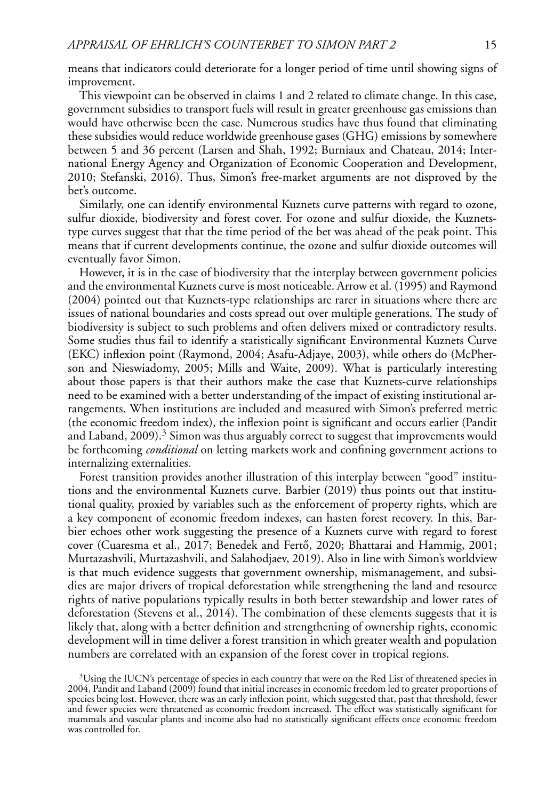means that indicators could deteriorate for a longer period of time until showing signs of improvement.

This viewpoint can be observed in claims 1 and 2 related to climate change. In this case, government subsidies to transport fuels will result in greater greenhouse gas emissions than would have otherwise been the case. Numerous studies have thus found that eliminating these subsidies would reduce worldwide greenhouse gases (GHG) emissions by somewhere between 5 and 36 percent (Larsen and Shah, 1992; Burniaux and Chateau, 2014; International Energy Agency and Organization of Economic Cooperation and Development, 2010; Stefanski, 2016). Thus, Simon's free-market arguments are not disproved by the bet's outcome.

Similarly, one can identify environmental Kuznets curve patterns with regard to ozone, sulfur dioxide, biodiversity and forest cover. For ozone and sulfur dioxide, the Kuznetstype curves suggest that that the time period of the bet was ahead of the peak point. This means that if current developments continue, the ozone and sulfur dioxide outcomes will eventually favor Simon.

However, it is in the case of biodiversity that the interplay between government policies and the environmental Kuznets curve is most noticeable. Arrow et al. (1995) and Raymond (2004) pointed out that Kuznets-type relationships are rarer in situations where there are issues of national boundaries and costs spread out over multiple generations. The study of biodiversity is subject to such problems and often delivers mixed or contradictory results. Some studies thus fail to identify a statistically significant Environmental Kuznets Curve (EKC) inflexion point (Raymond, 2004; Asafu-Adjaye, 2003), while others do (McPherson and Nieswiadomy, 2005; Mills and Waite, 2009). What is particularly interesting about those papers is that their authors make the case that Kuznets-curve relationships need to be examined with a better understanding of the impact of existing institutional arrangements. When institutions are included and measured with Simon's preferred metric (the economic freedom index), the inflexion point is significant and occurs earlier (Pandit and Laband,  $2009$ ).<sup>3</sup> Simon was thus arguably correct to suggest that improvements would be forthcoming *conditional* on letting markets work and confining government actions to internalizing externalities.

Forest transition provides another illustration of this interplay between "good" institutions and the environmental Kuznets curve. Barbier (2019) thus points out that institutional quality, proxied by variables such as the enforcement of property rights, which are a key component of economic freedom indexes, can hasten forest recovery. In this, Barbier echoes other work suggesting the presence of a Kuznets curve with regard to forest cover (Cuaresma et al., 2017; Benedek and Fertő, 2020; Bhattarai and Hammig, 2001; Murtazashvili, Murtazashvili, and Salahodjaev, 2019). Also in line with Simon's worldview is that much evidence suggests that government ownership, mismanagement, and subsidies are major drivers of tropical deforestation while strengthening the land and resource rights of native populations typically results in both better stewardship and lower rates of deforestation (Stevens et al., 2014). The combination of these elements suggests that it is likely that, along with a better definition and strengthening of ownership rights, economic development will in time deliver a forest transition in which greater wealth and population numbers are correlated with an expansion of the forest cover in tropical regions.

 $3$ Using the IUCN's percentage of species in each country that were on the Red List of threatened species in 2004, Pandit and Laband (2009) found that initial increases in economic freedom led to greater proportions of species being lost. However, there was an early inflexion point, which suggested that, past that threshold, fewer and fewer species were threatened as economic freedom increased. The effect was statistically significant for mammals and vascular plants and income also had no statistically significant effects once economic freedom was controlled for.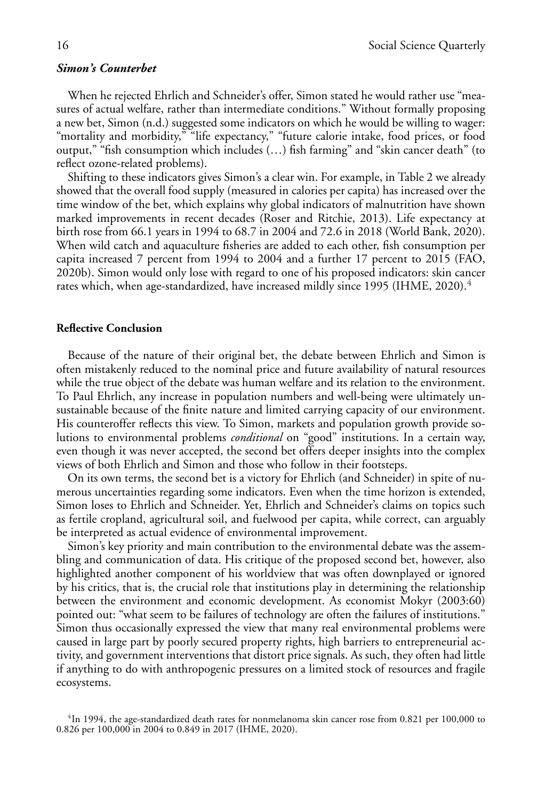## *Simon's Counterbet*

When he rejected Ehrlich and Schneider's offer, Simon stated he would rather use "measures of actual welfare, rather than intermediate conditions." Without formally proposing a new bet, Simon (n.d.) suggested some indicators on which he would be willing to wager: "mortality and morbidity," "life expectancy," "future calorie intake, food prices, or food output," "fish consumption which includes (…) fish farming" and "skin cancer death" (to reflect ozone-related problems).

Shifting to these indicators gives Simon's a clear win. For example, in Table 2 we already showed that the overall food supply (measured in calories per capita) has increased over the time window of the bet, which explains why global indicators of malnutrition have shown marked improvements in recent decades (Roser and Ritchie, 2013). Life expectancy at birth rose from 66.1 years in 1994 to 68.7 in 2004 and 72.6 in 2018 (World Bank, 2020). When wild catch and aquaculture fisheries are added to each other, fish consumption per capita increased 7 percent from 1994 to 2004 and a further 17 percent to 2015 (FAO, 2020b). Simon would only lose with regard to one of his proposed indicators: skin cancer rates which, when age-standardized, have increased mildly since 1995 (IHME, 2020).<sup>4</sup>

## **Reflective Conclusion**

Because of the nature of their original bet, the debate between Ehrlich and Simon is often mistakenly reduced to the nominal price and future availability of natural resources while the true object of the debate was human welfare and its relation to the environment. To Paul Ehrlich, any increase in population numbers and well-being were ultimately unsustainable because of the finite nature and limited carrying capacity of our environment. His counteroffer reflects this view. To Simon, markets and population growth provide solutions to environmental problems *conditional* on "good" institutions. In a certain way, even though it was never accepted, the second bet offers deeper insights into the complex views of both Ehrlich and Simon and those who follow in their footsteps.

On its own terms, the second bet is a victory for Ehrlich (and Schneider) in spite of numerous uncertainties regarding some indicators. Even when the time horizon is extended, Simon loses to Ehrlich and Schneider. Yet, Ehrlich and Schneider's claims on topics such as fertile cropland, agricultural soil, and fuelwood per capita, while correct, can arguably be interpreted as actual evidence of environmental improvement.

Simon's key priority and main contribution to the environmental debate was the assembling and communication of data. His critique of the proposed second bet, however, also highlighted another component of his worldview that was often downplayed or ignored by his critics, that is, the crucial role that institutions play in determining the relationship between the environment and economic development. As economist Mokyr (2003:60) pointed out: "what seem to be failures of technology are often the failures of institutions." Simon thus occasionally expressed the view that many real environmental problems were caused in large part by poorly secured property rights, high barriers to entrepreneurial activity, and government interventions that distort price signals. As such, they often had little if anything to do with anthropogenic pressures on a limited stock of resources and fragile ecosystems.

<sup>&</sup>lt;sup>4</sup>In 1994, the age-standardized death rates for nonmelanoma skin cancer rose from 0.821 per 100,000 to 0.826 per 100,000 in 2004 to 0.849 in 2017 (IHME, 2020).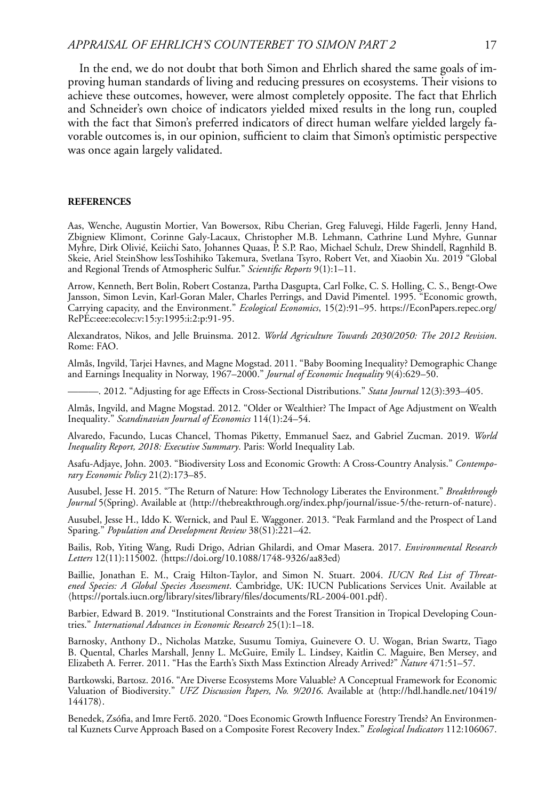#### *APPRAISAL OF EHRLICH'S COUNTERBET TO SIMON PART 2* 17

In the end, we do not doubt that both Simon and Ehrlich shared the same goals of improving human standards of living and reducing pressures on ecosystems. Their visions to achieve these outcomes, however, were almost completely opposite. The fact that Ehrlich and Schneider's own choice of indicators yielded mixed results in the long run, coupled with the fact that Simon's preferred indicators of direct human welfare yielded largely favorable outcomes is, in our opinion, sufficient to claim that Simon's optimistic perspective was once again largely validated.

#### **REFERENCES**

Aas, Wenche, Augustin Mortier, Van Bowersox, Ribu Cherian, Greg Faluvegi, Hilde Fagerli, Jenny Hand, Zbigniew Klimont, Corinne Galy-Lacaux, Christopher M.B. Lehmann, Cathrine Lund Myhre, Gunnar Myhre, Dirk Olivié, Keiichi Sato, Johannes Quaas, P. S.P. Rao, Michael Schulz, Drew Shindell, Ragnhild B. Skeie, Ariel SteinShow lessToshihiko Takemura, Svetlana Tsyro, Robert Vet, and Xiaobin Xu. 2019 "Global and Regional Trends of Atmospheric Sulfur." *Scientific Reports* 9(1):1–11.

Arrow, Kenneth, Bert Bolin, Robert Costanza, Partha Dasgupta, Carl Folke, C. S. Holling, C. S., Bengt-Owe Jansson, Simon Levin, Karl-Goran Maler, Charles Perrings, and David Pimentel. 1995. "Economic growth, Carrying capacity, and the Environment." *Ecological Economics*, 15(2):91–95. [https://EconPapers.repec.org/](https://EconPapers.repec.org/RePEc:eee:ecolec:v:15:y:1995:i:2:p:91-95) [RePEc:eee:ecolec:v:15:y:1995:i:2:p:91-95.](https://EconPapers.repec.org/RePEc:eee:ecolec:v:15:y:1995:i:2:p:91-95)

Alexandratos, Nikos, and Jelle Bruinsma. 2012. *World Agriculture Towards 2030/2050: The 2012 Revision*. Rome: FAO.

Almås, Ingvild, Tarjei Havnes, and Magne Mogstad. 2011. "Baby Booming Inequality? Demographic Change and Earnings Inequality in Norway, 1967–2000." *Journal of Economic Inequality* 9(4):629–50.

———. 2012. "Adjusting for age Effects in Cross-Sectional Distributions." *Stata Journal* 12(3):393–405.

Almås, Ingvild, and Magne Mogstad. 2012. "Older or Wealthier? The Impact of Age Adjustment on Wealth Inequality." *Scandinavian Journal of Economics* 114(1):24–54.

Alvaredo, Facundo, Lucas Chancel, Thomas Piketty, Emmanuel Saez, and Gabriel Zucman. 2019. *World Inequality Report, 2018: Executive Summary*. Paris: World Inequality Lab.

Asafu-Adjaye, John. 2003. "Biodiversity Loss and Economic Growth: A Cross-Country Analysis." *Contemporary Economic Policy* 21(2):173–85.

Ausubel, Jesse H. 2015. "The Return of Nature: How Technology Liberates the Environment." *Breakthrough Journal* 5(Spring). Available at (<http://thebreakthrough.org/index.php/journal/issue-5/the-return-of-nature>).

Ausubel, Jesse H., Iddo K. Wernick, and Paul E. Waggoner. 2013. "Peak Farmland and the Prospect of Land Sparing." *Population and Development Review* 38(S1):221–42.

Bailis, Rob, Yiting Wang, Rudi Drigo, Adrian Ghilardi, and Omar Masera. 2017. *Environmental Research Letters* 12(11):115002. -<https://doi.org/10.1088/1748-9326/aa83ed>

Baillie, Jonathan E. M., Craig Hilton-Taylor, and Simon N. Stuart. 2004. *IUCN Red List of Threatened Species: A Global Species Assessment*. Cambridge, UK: IUCN Publications Services Unit. Available at -<https://portals.iucn.org/library/sites/library/files/documents/RL-2004-001.pdf>.

Barbier, Edward B. 2019. "Institutional Constraints and the Forest Transition in Tropical Developing Countries." *International Advances in Economic Research* 25(1):1–18.

Barnosky, Anthony D., Nicholas Matzke, Susumu Tomiya, Guinevere O. U. Wogan, Brian Swartz, Tiago B. Quental, Charles Marshall, Jenny L. McGuire, Emily L. Lindsey, Kaitlin C. Maguire, Ben Mersey, and Elizabeth A. Ferrer. 2011. "Has the Earth's Sixth Mass Extinction Already Arrived?" *Nature* 471:51–57.

Bartkowski, Bartosz. 2016. "Are Diverse Ecosystems More Valuable? A Conceptual Framework for Economic Valuation of Biodiversity." *UFZ Discussion Papers, No. 9/2016*. Available at -[http://hdl.handle.net/10419/](http://hdl.handle.net/10419/144178) [144178](http://hdl.handle.net/10419/144178).

Benedek, Zsófia, and Imre Fertő. 2020. "Does Economic Growth Influence Forestry Trends? An Environmental Kuznets Curve Approach Based on a Composite Forest Recovery Index." *Ecological Indicators* 112:106067.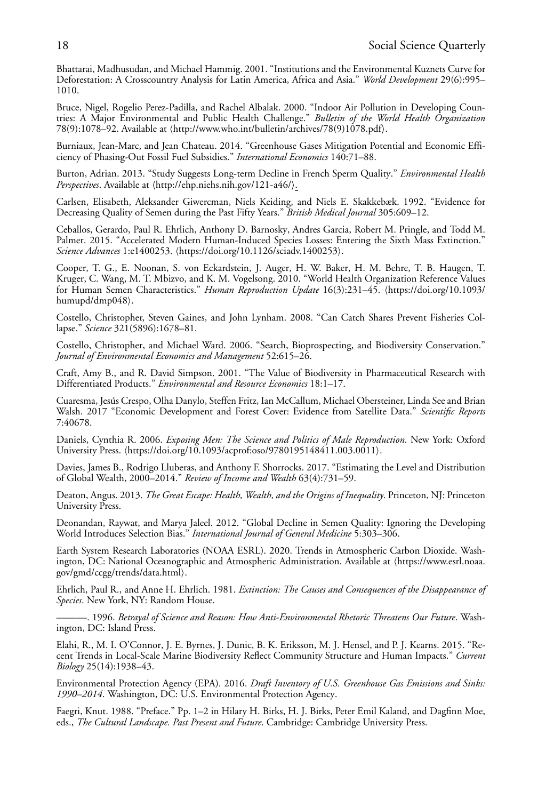Bhattarai, Madhusudan, and Michael Hammig. 2001. "Institutions and the Environmental Kuznets Curve for Deforestation: A Crosscountry Analysis for Latin America, Africa and Asia." *World Development* 29(6):995– 1010.

Bruce, Nigel, Rogelio Perez-Padilla, and Rachel Albalak. 2000. "Indoor Air Pollution in Developing Countries: A Major Environmental and Public Health Challenge." *Bulletin of the World Health Organization* 78(9):1078–92. Available at  $\langle \text{http://www.who.int/bulletin/archives/78(9)1078.pdf} \rangle$  $\langle \text{http://www.who.int/bulletin/archives/78(9)1078.pdf} \rangle$  $\langle \text{http://www.who.int/bulletin/archives/78(9)1078.pdf} \rangle$ .

Burniaux, Jean-Marc, and Jean Chateau. 2014. "Greenhouse Gases Mitigation Potential and Economic Efficiency of Phasing-Out Fossil Fuel Subsidies." *International Economics* 140:71–88.

Burton, Adrian. 2013. "Study Suggests Long-term Decline in French Sperm Quality." *Environmental Health Perspectives*. Available at -<http://ehp.niehs.nih.gov/121-a46/>.

Carlsen, Elisabeth, Aleksander Giwercman, Niels Keiding, and Niels E. Skakkebæk. 1992. "Evidence for Decreasing Quality of Semen during the Past Fifty Years." *British Medical Journal* 305:609–12.

Ceballos, Gerardo, Paul R. Ehrlich, Anthony D. Barnosky, Andres Garcia, Robert M. Pringle, and Todd M. Palmer. 2015. "Accelerated Modern Human-Induced Species Losses: Entering the Sixth Mass Extinction." *Science Advances* 1:e1400253. -<https://doi.org/10.1126/sciadv.1400253>.

Cooper, T. G., E. Noonan, S. von Eckardstein, J. Auger, H. W. Baker, H. M. Behre, T. B. Haugen, T. Kruger, C. Wang, M. T. Mbizvo, and K. M. Vogelsong. 2010. "World Health Organization Reference Values for Human Semen Characteristics." *Human Reproduction Update* 16(3):231–45. ([https://doi.org/10.1093/](https://doi.org/10.1093/humupd/dmp048) [humupd/dmp048](https://doi.org/10.1093/humupd/dmp048)).

Costello, Christopher, Steven Gaines, and John Lynham. 2008. "Can Catch Shares Prevent Fisheries Collapse." *Science* 321(5896):1678–81.

Costello, Christopher, and Michael Ward. 2006. "Search, Bioprospecting, and Biodiversity Conservation." *Journal of Environmental Economics and Management* 52:615–26.

Craft, Amy B., and R. David Simpson. 2001. "The Value of Biodiversity in Pharmaceutical Research with Differentiated Products." *Environmental and Resource Economics* 18:1–17.

Cuaresma, Jesús Crespo, Olha Danylo, Steffen Fritz, Ian McCallum, Michael Obersteiner, Linda See and Brian Walsh. 2017 "Economic Development and Forest Cover: Evidence from Satellite Data." *Scientific Reports* 7:40678.

Daniels, Cynthia R. 2006. *Exposing Men: The Science and Politics of Male Reproduction*. New York: Oxford University Press. (<https://doi.org/10.1093/acprof:oso/9780195148411.003.0011>).

Davies, James B., Rodrigo Lluberas, and Anthony F. Shorrocks. 2017. "Estimating the Level and Distribution of Global Wealth, 2000–2014." *Review of Income and Wealth* 63(4):731–59.

Deaton, Angus. 2013. *The Great Escape: Health, Wealth, and the Origins of Inequality*. Princeton, NJ: Princeton University Press.

Deonandan, Raywat, and Marya Jaleel. 2012. "Global Decline in Semen Quality: Ignoring the Developing World Introduces Selection Bias." *International Journal of General Medicine* 5:303–306.

Earth System Research Laboratories (NOAA ESRL). 2020. Trends in Atmospheric Carbon Dioxide. Washington, DC: National Oceanographic and Atmospheric Administration. Available at -[https://www.esrl.noaa.](https://www.esrl.noaa.gov/gmd/ccgg/trends/data.html) [gov/gmd/ccgg/trends/data.html](https://www.esrl.noaa.gov/gmd/ccgg/trends/data.html).

Ehrlich, Paul R., and Anne H. Ehrlich. 1981. *Extinction: The Causes and Consequences of the Disappearance of Species*. New York, NY: Random House.

———. 1996. *Betrayal of Science and Reason: How Anti-Environmental Rhetoric Threatens Our Future*. Washington, DC: Island Press.

Elahi, R., M. I. O'Connor, J. E. Byrnes, J. Dunic, B. K. Eriksson, M. J. Hensel, and P. J. Kearns. 2015. "Recent Trends in Local-Scale Marine Biodiversity Reflect Community Structure and Human Impacts." *Current Biology* 25(14):1938–43.

Environmental Protection Agency (EPA). 2016. *Draft Inventory of U.S. Greenhouse Gas Emissions and Sinks: 1990–2014*. Washington, DC: U.S. Environmental Protection Agency.

Faegri, Knut. 1988. "Preface." Pp. 1–2 in Hilary H. Birks, H. J. Birks, Peter Emil Kaland, and Dagfinn Moe, eds., *The Cultural Landscape. Past Present and Future*. Cambridge: Cambridge University Press.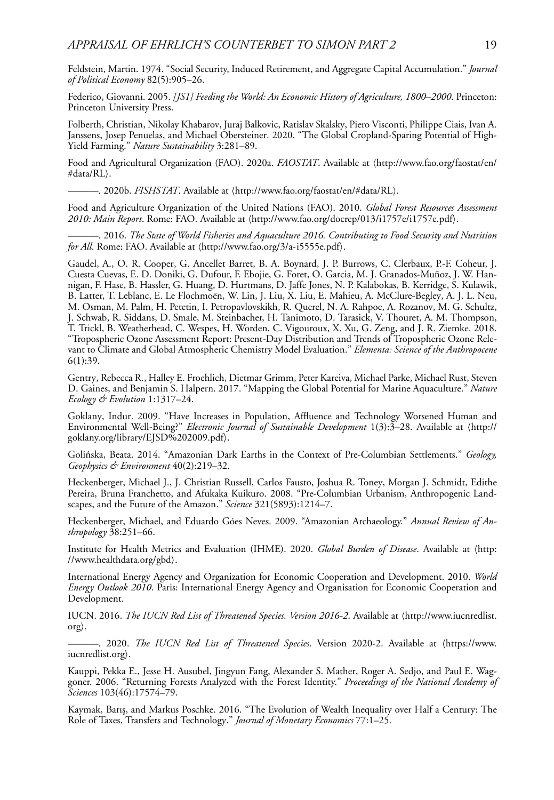Feldstein, Martin. 1974. "Social Security, Induced Retirement, and Aggregate Capital Accumulation." *Journal of Political Economy* 82(5):905–26.

Federico, Giovanni. 2005. *[JS1] Feeding the World: An Economic History of Agriculture, 1800–2000*. Princeton: Princeton University Press.

Folberth, Christian, Nikolay Khabarov, Juraj Balkovic, Ratislav Skalsky, Piero Visconti, Philippe Ciais, Ivan A. Janssens, Josep Penuelas, and Michael Obersteiner. 2020. "The Global Cropland-Sparing Potential of High-Yield Farming." *Nature Sustainability* 3:281–89.

Food and Agricultural Organization (FAO). 2020a. *FAOSTAT*. Available at ([http://www.fao.org/faostat/en/](http://www.fao.org/faostat/en/#data/RL) [#data/RL](http://www.fao.org/faostat/en/#data/RL) $\rangle$ .

————. 2020b. *FISHSTAT*. Available at  $\langle$ <http://www.fao.org/faostat/en/#data/RL> $\rangle$ .

Food and Agriculture Organization of the United Nations (FAO). 2010. *Global Forest Resources Assessment* 2010: *Main Report*. Rome: FAO. Available at  $\frac{\hbar}{\hbar}$  (<http://www.fao.org/docrep/013/i1757e/i1757e.pdf>).

———. 2016. *The State of World Fisheries and Aquaculture 2016. Contributing to Food Security and Nutrition for All*. Rome: FAO. Available at  $\langle \text{http://www.fao.org/3/a-i5555e.pdf} \rangle$  $\langle \text{http://www.fao.org/3/a-i5555e.pdf} \rangle$  $\langle \text{http://www.fao.org/3/a-i5555e.pdf} \rangle$ .

Gaudel, A., O. R. Cooper, G. Ancellet Barret, B. A. Boynard, J. P. Burrows, C. Clerbaux, P.-F. Coheur, J. Cuesta Cuevas, E. D. Doniki, G. Dufour, F. Ebojie, G. Foret, O. Garcia, M. J. Granados-Muñoz, J. W. Hannigan, F. Hase, B. Hassler, G. Huang, D. Hurtmans, D. Jaffe Jones, N. P. Kalabokas, B. Kerridge, S. Kulawik, B. Latter, T. Leblanc, E. Le Flochmoën, W. Lin, J. Liu, X. Liu, E. Mahieu, A. McClure-Begley, A. J. L. Neu, M. Osman, M. Palm, H. Petetin, I. Petropavlovskikh, R. Querel, N. A. Rahpoe, A. Rozanov, M. G. Schultz, J. Schwab, R. Siddans, D. Smale, M. Steinbacher, H. Tanimoto, D. Tarasick, V. Thouret, A. M. Thompson, T. Trickl, B. Weatherhead, C. Wespes, H. Worden, C. Vigouroux, X. Xu, G. Zeng, and J. R. Ziemke. 2018. "Tropospheric Ozone Assessment Report: Present-Day Distribution and Trends of Tropospheric Ozone Relevant to Climate and Global Atmospheric Chemistry Model Evaluation." *Elementa: Science of the Anthropocene* 6(1):39.

Gentry, Rebecca R., Halley E. Froehlich, Dietmar Grimm, Peter Kareiva, Michael Parke, Michael Rust, Steven D. Gaines, and Benjamin S. Halpern. 2017. "Mapping the Global Potential for Marine Aquaculture." *Nature Ecology & Evolution* 1:1317–24.

Goklany, Indur. 2009. "Have Increases in Population, Affluence and Technology Worsened Human and Environmental Well-Being?" *Electronic Journal of Sustainable Development* 1(3):3–28. Available at ([http://](http://goklany.org/library/EJSD%202009.pdf) [goklany.org/library/EJSD%202009.pdf](http://goklany.org/library/EJSD%202009.pdf).

Golinska, Beata. 2014. "Amazonian Dark Earths in the Context of Pre-Columbian Settlements." ´ *Geology, Geophysics & Environment* 40(2):219–32.

Heckenberger, Michael J., J. Christian Russell, Carlos Fausto, Joshua R. Toney, Morgan J. Schmidt, Edithe Pereira, Bruna Franchetto, and Afukaka Kuikuro. 2008. "Pre-Columbian Urbanism, Anthropogenic Landscapes, and the Future of the Amazon." *Science* 321(5893):1214–7.

Heckenberger, Michael, and Eduardo Góes Neves. 2009. "Amazonian Archaeology." *Annual Review of Anthropology* 38:251–66.

Institute for Health Metrics and Evaluation (IHME). 2020. *Global Burden of Disease*. Available at ([http:](http://www.healthdata.org/gbd) [//www.healthdata.org/gbd](http://www.healthdata.org/gbd)).

International Energy Agency and Organization for Economic Cooperation and Development. 2010. *World Energy Outlook 2010*. Paris: International Energy Agency and Organisation for Economic Cooperation and Development.

IUCN. 2016. *The IUCN Red List of Threatened Species. Version 2016-2*. Available at  $\langle \text{http://www.iucnredlist.}$  $\langle \text{http://www.iucnredlist.}$  $\langle \text{http://www.iucnredlist.}$  $\text{org}$  $\text{org}$  $\text{org}$ .

———. 2020. *The IUCN Red List of Threatened Species*. Version 2020-2. Available at ([https://www.](https://www.iucnredlist.org) [iucnredlist.org](https://www.iucnredlist.org)).

Kauppi, Pekka E., Jesse H. Ausubel, Jingyun Fang, Alexander S. Mather, Roger A. Sedjo, and Paul E. Waggoner. 2006. "Returning Forests Analyzed with the Forest Identity." *Proceedings of the National Academy of Sciences* 103(46):17574–79.

Kaymak, Barış, and Markus Poschke. 2016. "The Evolution of Wealth Inequality over Half a Century: The Role of Taxes, Transfers and Technology." *Journal of Monetary Economics* 77:1–25.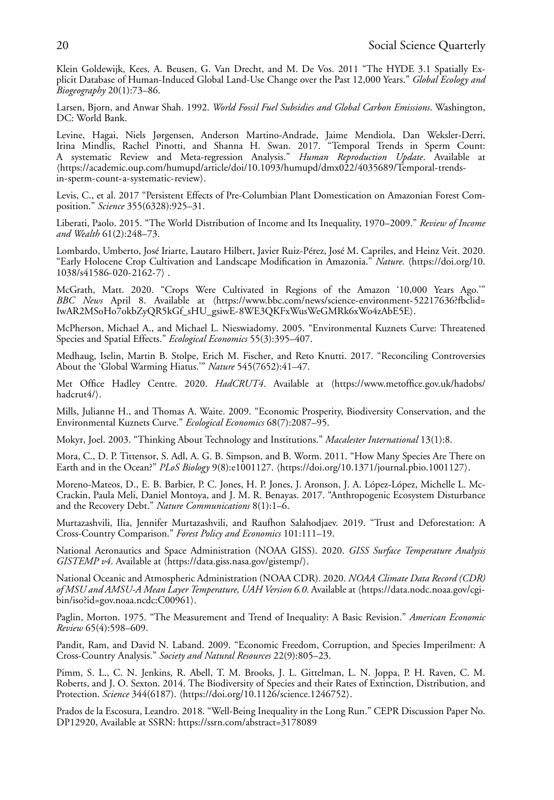Klein Goldewijk, Kees, A. Beusen, G. Van Drecht, and M. De Vos. 2011 "The HYDE 3.1 Spatially Explicit Database of Human-Induced Global Land-Use Change over the Past 12,000 Years." *Global Ecology and Biogeography* 20(1):73–86.

Larsen, Bjorn, and Anwar Shah. 1992. *World Fossil Fuel Subsidies and Global Carbon Emissions*. Washington, DC: World Bank.

Levine, Hagai, Niels Jørgensen, Anderson Martino-Andrade, Jaime Mendiola, Dan Weksler-Derri, Irina Mindlis, Rachel Pinotti, and Shanna H. Swan. 2017. "Temporal Trends in Sperm Count: A systematic Review and Meta-regression Analysis." *Human Reproduction Update*. Available at -[https://academic.oup.com/humupd/article/doi/10.1093/humupd/dmx022/4035689/Temporal-trends](https://academic.oup.com/humupd/article/doi/10.1093/humupd/dmx022/4035689/Temporal-trends-in-sperm-count-a-systematic-review)[in-sperm-count-a-systematic-review](https://academic.oup.com/humupd/article/doi/10.1093/humupd/dmx022/4035689/Temporal-trends-in-sperm-count-a-systematic-review)).

Levis, C., et al. 2017 "Persistent Effects of Pre-Columbian Plant Domestication on Amazonian Forest Composition." *Science* 355(6328):925–31.

Liberati, Paolo. 2015. "The World Distribution of Income and Its Inequality, 1970–2009." *Review of Income and Wealth* 61(2):248–73.

Lombardo, Umberto, José Iriarte, Lautaro Hilbert, Javier Ruiz-Pérez, José M. Capriles, and Heinz Veit. 2020. "Early Holocene Crop Cultivation and Landscape Modification in Amazonia." *Nature*. ([https://doi.org/10.](https://doi.org/10.1038/s41586-020-2162-7) [1038/s41586-020-2162-7](https://doi.org/10.1038/s41586-020-2162-7) .

McGrath, Matt. 2020. "Crops Were Cultivated in Regions of the Amazon '10,000 Years Ago.'" *BBC News* April 8. Available at ([https://www.bbc.com/news/science-environment-52217636?fbclid=](https://www.bbc.com/news/science-environment-52217636?fbclid=IwAR2MSoHo7okbZyQR5kGf_sHU_gsiwE-8WE3QKFxWusWeGMRk6xWo4zAbE5E) [IwAR2MSoHo7okbZyQR5kGf\\_sHU\\_gsiwE-8WE3QKFxWusWeGMRk6xWo4zAbE5E](https://www.bbc.com/news/science-environment-52217636?fbclid=IwAR2MSoHo7okbZyQR5kGf_sHU_gsiwE-8WE3QKFxWusWeGMRk6xWo4zAbE5E).

McPherson, Michael A., and Michael L. Nieswiadomy. 2005. "Environmental Kuznets Curve: Threatened Species and Spatial Effects." *Ecological Economics* 55(3):395–407.

Medhaug, Iselin, Martin B. Stolpe, Erich M. Fischer, and Reto Knutti. 2017. "Reconciling Controversies About the 'Global Warming Hiatus.'" *Nature* 545(7652):41–47.

Met Office Hadley Centre. 2020. *HadCRUT4*. Available at ([https://www.metoffice.gov.uk/hadobs/](https://www.metoffice.gov.uk/hadobs/hadcrut4/) [hadcrut4/](https://www.metoffice.gov.uk/hadobs/hadcrut4/)).

Mills, Julianne H., and Thomas A. Waite. 2009. "Economic Prosperity, Biodiversity Conservation, and the Environmental Kuznets Curve." *Ecological Economics* 68(7):2087–95.

Mokyr, Joel. 2003. "Thinking About Technology and Institutions." *Macalester International* 13(1):8.

Mora, C., D. P. Tittensor, S. Adl, A. G. B. Simpson, and B. Worm. 2011. "How Many Species Are There on Earth and in the Ocean?" *PLoS Biology* 9(8):e1001127. -<https://doi.org/10.1371/journal.pbio.1001127>.

Moreno-Mateos, D., E. B. Barbier, P. C. Jones, H. P. Jones, J. Aronson, J. A. López-López, Michelle L. Mc-Crackin, Paula Meli, Daniel Montoya, and J. M. R. Benayas. 2017. "Anthropogenic Ecosystem Disturbance and the Recovery Debt." *Nature Communications* 8(1):1–6.

Murtazashvili, Ilia, Jennifer Murtazashvili, and Raufhon Salahodjaev. 2019. "Trust and Deforestation: A Cross-Country Comparison." *Forest Policy and Economics* 101:111–19.

National Aeronautics and Space Administration (NOAA GISS). 2020. *GISS Surface Temperature Analysis GISTEMP v4*. Available at  $\langle \text{https://data.giss.nasa.gov/gistemp/}\rangle$  $\langle \text{https://data.giss.nasa.gov/gistemp/}\rangle$  $\langle \text{https://data.giss.nasa.gov/gistemp/}\rangle$ .

National Oceanic and Atmospheric Administration (NOAA CDR). 2020. *NOAA Climate Data Record (CDR)* of MSU *and AMSU-A Mean Layer Temperature, UAH Version 6.0*. Available at (https://data.nodc.noaa.gov/cgi-<br>. [bin/iso?id=gov.noaa.ncdc:C00961](https://data.nodc.noaa.gov/cgi-bin/iso?id=gov.noaa.ncdc:C00961)).

Paglin, Morton. 1975. "The Measurement and Trend of Inequality: A Basic Revision." *American Economic Review* 65(4):598–609.

Pandit, Ram, and David N. Laband. 2009. "Economic Freedom, Corruption, and Species Imperilment: A Cross-Country Analysis." *Society and Natural Resources* 22(9):805–23.

Pimm, S. L., C. N. Jenkins, R. Abell, T. M. Brooks, J. L. Gittelman, L. N. Joppa, P. H. Raven, C. M. Roberts, and J. O. Sexton. 2014. The Biodiversity of Species and their Rates of Extinction, Distribution, and Protection. *Science* 344(6187). (<https://doi.org/10.1126/science.1246752>).

Prados de la Escosura, Leandro. 2018. "Well-Being Inequality in the Long Run." CEPR Discussion Paper No. DP12920, Available at SSRN:<https://ssrn.com/abstract=3178089>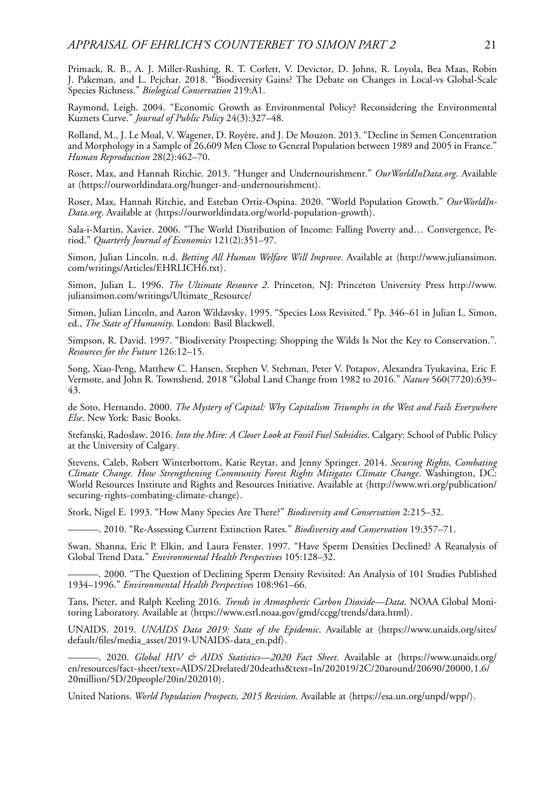Primack, R. B., A. J. Miller-Rushing, R. T. Corlett, V. Devictor, D. Johns, R. Loyola, Bea Maas, Robin J. Pakeman, and L. Pejchar. 2018. "Biodiversity Gains? The Debate on Changes in Local-vs Global-Scale Species Richness." *Biological Conservation* 219:A1.

Raymond, Leigh. 2004. "Economic Growth as Environmental Policy? Reconsidering the Environmental Kuznets Curve." *Journal of Public Policy* 24(3):327–48.

Rolland, M., J. Le Moal, V. Wagener, D. Royère, and J. De Mouzon. 2013. "Decline in Semen Concentration and Morphology in a Sample of 26,609 Men Close to General Population between 1989 and 2005 in France." *Human Reproduction* 28(2):462–70.

Roser, Max, and Hannah Ritchie. 2013. "Hunger and Undernourishment." *OurWorldInData.org*. Available at (<https://ourworldindata.org/hunger-and-undernourishment>).

Roser, Max, Hannah Ritchie, and Esteban Ortiz-Ospina. 2020. "World Population Growth." *OurWorldIn*Data.org. Available at (<https://ourworldindata.org/world-population-growth>).

Sala-i-Martin, Xavier. 2006. "The World Distribution of Income: Falling Poverty and… Convergence, Period." *Quarterly Journal of Economics* 121(2):351–97.

Simon, Julian Lincoln. n.d. *Betting All Human Welfare Will Improve*. Available at ([http://www.juliansimon.](http://www.juliansimon.com/writings/Articles/EHRLICH6.txt) [com/writings/Articles/EHRLICH6.txt](http://www.juliansimon.com/writings/Articles/EHRLICH6.txt)).

Simon, Julian L. 1996. *The Ultimate Resource 2*. Princeton, NJ: Princeton University Press [http://www.](http://www.juliansimon.com/writings/Ultimate_Resource/) [juliansimon.com/writings/Ultimate\\_Resource/](http://www.juliansimon.com/writings/Ultimate_Resource/)

Simon, Julian Lincoln, and Aaron Wildavsky. 1995. "Species Loss Revisited." Pp. 346–61 in Julian L. Simon, ed., *The State of Humanity*. London: Basil Blackwell.

Simpson, R. David. 1997. "Biodiversity Prospecting: Shopping the Wilds Is Not the Key to Conservation.". *Resources for the Future* 126:12–15.

Song, Xiao-Peng, Matthew C. Hansen, Stephen V. Stehman, Peter V. Potapov, Alexandra Tyukavina, Eric F. Vermote, and John R. Townshend. 2018 "Global Land Change from 1982 to 2016." *Nature* 560(7720):639– 43.

de Soto, Hernando. 2000. *The Mystery of Capital: Why Capitalism Triumphs in the West and Fails Everywhere Else*. New York: Basic Books.

Stefanski, Radoslaw. 2016. *Into the Mire: A Closer Look at Fossil Fuel Subsidies*. Calgary: School of Public Policy at the University of Calgary.

Stevens, Caleb, Robert Winterbottom, Katie Reytar, and Jenny Springer. 2014. *Securing Rights, Combating Climate Change. How Strengthening Community Forest Rights Mitigates Climate Change*. Washington, DC: World Resources Institute and Rights and Resources Initiative. Available at ([http://www.wri.org/publication/](http://www.wri.org/publication/securing-rights-combating-climate-change) [securing-rights-combating-climate-change](http://www.wri.org/publication/securing-rights-combating-climate-change)).

Stork, Nigel E. 1993. "How Many Species Are There?" *Biodiversity and Conservation* 2:215–32.

———. 2010. "Re-Assessing Current Extinction Rates." *Biodiversity and Conservation* 19:357–71.

Swan, Shanna, Eric P. Elkin, and Laura Fenster. 1997. "Have Sperm Densities Declined? A Reanalysis of Global Trend Data." *Environmental Health Perspectives* 105:128–32.

———. 2000. "The Question of Declining Sperm Density Revisited: An Analysis of 101 Studies Published 1934–1996." *Environmental Health Perspectives* 108:961–66.

Tans, Pieter, and Ralph Keeling 2016. *Trends in Atmospheric Carbon Dioxide—Data*. NOAA Global Monitoring Laboratory. Available at \<https://www.esrl.noaa.gov/gmd/ccgg/trends/data.html>}.

UNAIDS. 2019. *UNAIDS Data 2019: State of the Epidemic*. Available at ([https://www.unaids.org/sites/](https://www.unaids.org/sites/default/files/media_asset/2019-UNAIDS-data_en.pdf) [default/files/media\\_asset/2019-UNAIDS-data\\_en.pdf](https://www.unaids.org/sites/default/files/media_asset/2019-UNAIDS-data_en.pdf).

———. 2020. *Global HIV & AIDS Statistics—2020 Fact Sheet*. Available at ([https://www.unaids.org/](https://www.unaids.org/en/resources/fact-sheet/text=AIDS/2Drelated/20deaths&text=In/202019/2C/20around/20690/20000,1.6/20million/5D/20people/20in/202010) [en/resources/fact-sheet/text=AIDS/2Drelated/20deaths&text=In/202019/2C/20around/20690/20000,1.6/](https://www.unaids.org/en/resources/fact-sheet/text=AIDS/2Drelated/20deaths&text=In/202019/2C/20around/20690/20000,1.6/20million/5D/20people/20in/202010) [20million/5D/20people/20in/202010](https://www.unaids.org/en/resources/fact-sheet/text=AIDS/2Drelated/20deaths&text=In/202019/2C/20around/20690/20000,1.6/20million/5D/20people/20in/202010).

United Nations. *World Population Prospects, 2015 Revision*. Available at (<https://esa.un.org/unpd/wpp/>).